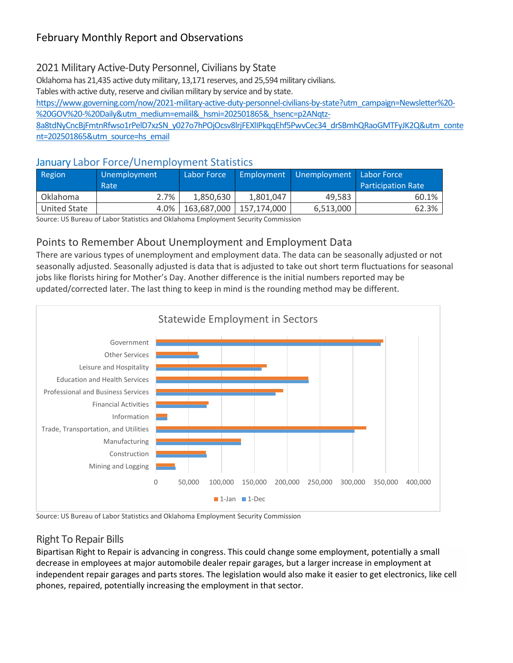## 2021 Military Active-Duty Personnel, Civilians by State

Oklahoma has 21,435 active duty military, 13,171 reserves, and 25,594 military civilians.

Tables with active duty, reserve and civilian military by service and by state.

[https://www.governing.com/now/2021-military-active-duty-personnel-civilians-by-state?utm\\_campaign=Newsletter%20-](https://www.governing.com/now/2021-military-active-duty-personnel-civilians-by-state?utm_campaign=Newsletter%20-%20GOV%20-%20Daily&utm_medium=email&_hsmi=202501865&_hsenc=p2ANqtz-8a8tdNyCncBjFmtnRfwso1rPelD7xzSN_y027o7hPOjOcsv8lrjFEXlIPkqqEhf5PwvCec34_drSBmhQRaoGMTFyJK2Q&utm_content=202501865&utm_source=hs_email) [%20GOV%20-%20Daily&utm\\_medium=email&\\_hsmi=202501865&\\_hsenc=p2ANqtz-](https://www.governing.com/now/2021-military-active-duty-personnel-civilians-by-state?utm_campaign=Newsletter%20-%20GOV%20-%20Daily&utm_medium=email&_hsmi=202501865&_hsenc=p2ANqtz-8a8tdNyCncBjFmtnRfwso1rPelD7xzSN_y027o7hPOjOcsv8lrjFEXlIPkqqEhf5PwvCec34_drSBmhQRaoGMTFyJK2Q&utm_content=202501865&utm_source=hs_email)

[8a8tdNyCncBjFmtnRfwso1rPelD7xzSN\\_y027o7hPOjOcsv8lrjFEXlIPkqqEhf5PwvCec34\\_drSBmhQRaoGMTFyJK2Q&utm\\_conte](https://www.governing.com/now/2021-military-active-duty-personnel-civilians-by-state?utm_campaign=Newsletter%20-%20GOV%20-%20Daily&utm_medium=email&_hsmi=202501865&_hsenc=p2ANqtz-8a8tdNyCncBjFmtnRfwso1rPelD7xzSN_y027o7hPOjOcsv8lrjFEXlIPkqqEhf5PwvCec34_drSBmhQRaoGMTFyJK2Q&utm_content=202501865&utm_source=hs_email) [nt=202501865&utm\\_source=hs\\_email](https://www.governing.com/now/2021-military-active-duty-personnel-civilians-by-state?utm_campaign=Newsletter%20-%20GOV%20-%20Daily&utm_medium=email&_hsmi=202501865&_hsenc=p2ANqtz-8a8tdNyCncBjFmtnRfwso1rPelD7xzSN_y027o7hPOjOcsv8lrjFEXlIPkqqEhf5PwvCec34_drSBmhQRaoGMTFyJK2Q&utm_content=202501865&utm_source=hs_email)

#### January Labor Force/Unemployment Statistics

| Region                                                                             | Unemployment<br>Rate | Labor Force |             | Employment Unemployment Labor Force | <b>Participation Rate</b> |
|------------------------------------------------------------------------------------|----------------------|-------------|-------------|-------------------------------------|---------------------------|
| Oklahoma                                                                           | 2.7%                 | 1.850.630   | 1.801.047   | 49.583                              | 60.1%                     |
| United State                                                                       | $4.0\%$              | 163,687,000 | 157.174.000 | 6,513,000                           | 62.3%                     |
| Course UC Bussey of Lakes Chatteries and Oldehams Fredermont Constituto Commission |                      |             |             |                                     |                           |

Source: US Bureau of Labor Statistics and Oklahoma Employment Security Commission

## Points to Remember About Unemployment and Employment Data

There are various types of unemployment and employment data. The data can be seasonally adjusted or not seasonally adjusted. Seasonally adjusted is data that is adjusted to take out short term fluctuations for seasonal jobs like florists hiring for Mother's Day. Another difference is the initial numbers reported may be updated/corrected later. The last thing to keep in mind is the rounding method may be different.



Source: US Bureau of Labor Statistics and Oklahoma Employment Security Commission

## Right To Repair Bills

Bipartisan Right to Repair is advancing in congress. This could change some employment, potentially a small decrease in employees at major automobile dealer repair garages, but a larger increase in employment at independent repair garages and parts stores. The legislation would also make it easier to get electronics, like cell phones, repaired, potentially increasing the employment in that sector.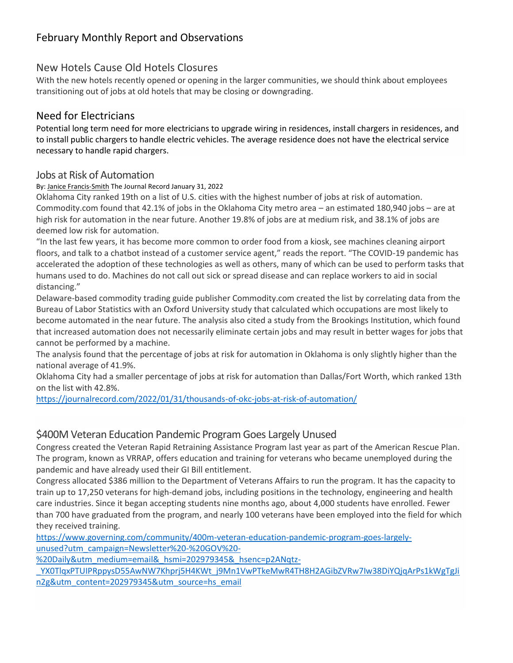#### New Hotels Cause Old Hotels Closures

With the new hotels recently opened or opening in the larger communities, we should think about employees transitioning out of jobs at old hotels that may be closing or downgrading.

### Need for Electricians

Potential long term need for more electricians to upgrade wiring in residences, install chargers in residences, and to install public chargers to handle electric vehicles. The average residence does not have the electrical service necessary to handle rapid chargers.

#### Jobs at Risk of Automation

By: Janice [Francis-Smith](https://journalrecord.com/author/jfrancissmith/) The Journal Record January 31, 2022

Oklahoma City ranked 19th on a list of U.S. cities with the highest number of jobs at risk of automation. Commodity.com found that 42.1% of jobs in the Oklahoma City metro area – an estimated 180,940 jobs – are at high risk for automation in the near future. Another 19.8% of jobs are at medium risk, and 38.1% of jobs are deemed low risk for automation.

"In the last few years, it has become more common to order food from a kiosk, see machines cleaning airport floors, and talk to a chatbot instead of a customer service agent," reads the report. "The COVID-19 pandemic has accelerated the adoption of these technologies as well as others, many of which can be used to perform tasks that humans used to do. Machines do not call out sick or spread disease and can replace workers to aid in social distancing."

Delaware-based commodity trading guide publisher Commodity.com created the list by correlating data from the Bureau of Labor Statistics with an Oxford University study that calculated which occupations are most likely to become automated in the near future. The analysis also cited a study from the Brookings Institution, which found that increased automation does not necessarily eliminate certain jobs and may result in better wages for jobs that cannot be performed by a machine.

The analysis found that the percentage of jobs at risk for automation in Oklahoma is only slightly higher than the national average of 41.9%.

Oklahoma City had a smaller percentage of jobs at risk for automation than Dallas/Fort Worth, which ranked 13th on the list with 42.8%.

<https://journalrecord.com/2022/01/31/thousands-of-okc-jobs-at-risk-of-automation/>

#### \$400M Veteran Education Pandemic Program Goes Largely Unused

Congress created the Veteran Rapid Retraining Assistance Program last year as part of the American Rescue Plan. The program, known as VRRAP, offers education and training for veterans who became unemployed during the pandemic and have already used their GI Bill entitlement.

Congress allocated \$386 million to the Department of Veterans Affairs to run the program. It has the capacity to train up to 17,250 veterans for high-demand jobs, including positions in the technology, engineering and health care industries. Since it began accepting students nine months ago, about 4,000 students have enrolled. Fewer than 700 have graduated from the program, and nearly 100 veterans have been employed into the field for which they received training.

[https://www.governing.com/community/400m-veteran-education-pandemic-program-goes-largely](https://www.governing.com/community/400m-veteran-education-pandemic-program-goes-largely-unused?utm_campaign=Newsletter%20-%20GOV%20-%20Daily&utm_medium=email&_hsmi=202979345&_hsenc=p2ANqtz-_YX0TlqxPTUIPRppysD55AwNW7Khprj5H4KWt_j9Mn1VwPTkeMwR4TH8H2AGibZVRw7Iw38DiYQjqArPs1kWgTgJin2g&utm_content=202979345&utm_source=hs_email)[unused?utm\\_campaign=Newsletter%20-%20GOV%20-](https://www.governing.com/community/400m-veteran-education-pandemic-program-goes-largely-unused?utm_campaign=Newsletter%20-%20GOV%20-%20Daily&utm_medium=email&_hsmi=202979345&_hsenc=p2ANqtz-_YX0TlqxPTUIPRppysD55AwNW7Khprj5H4KWt_j9Mn1VwPTkeMwR4TH8H2AGibZVRw7Iw38DiYQjqArPs1kWgTgJin2g&utm_content=202979345&utm_source=hs_email)

[%20Daily&utm\\_medium=email&\\_hsmi=202979345&\\_hsenc=p2ANqtz-](https://www.governing.com/community/400m-veteran-education-pandemic-program-goes-largely-unused?utm_campaign=Newsletter%20-%20GOV%20-%20Daily&utm_medium=email&_hsmi=202979345&_hsenc=p2ANqtz-_YX0TlqxPTUIPRppysD55AwNW7Khprj5H4KWt_j9Mn1VwPTkeMwR4TH8H2AGibZVRw7Iw38DiYQjqArPs1kWgTgJin2g&utm_content=202979345&utm_source=hs_email)

[\\_YX0TlqxPTUIPRppysD55AwNW7Khprj5H4KWt\\_j9Mn1VwPTkeMwR4TH8H2AGibZVRw7Iw38DiYQjqArPs1kWgTgJi](https://www.governing.com/community/400m-veteran-education-pandemic-program-goes-largely-unused?utm_campaign=Newsletter%20-%20GOV%20-%20Daily&utm_medium=email&_hsmi=202979345&_hsenc=p2ANqtz-_YX0TlqxPTUIPRppysD55AwNW7Khprj5H4KWt_j9Mn1VwPTkeMwR4TH8H2AGibZVRw7Iw38DiYQjqArPs1kWgTgJin2g&utm_content=202979345&utm_source=hs_email) [n2g&utm\\_content=202979345&utm\\_source=hs\\_email](https://www.governing.com/community/400m-veteran-education-pandemic-program-goes-largely-unused?utm_campaign=Newsletter%20-%20GOV%20-%20Daily&utm_medium=email&_hsmi=202979345&_hsenc=p2ANqtz-_YX0TlqxPTUIPRppysD55AwNW7Khprj5H4KWt_j9Mn1VwPTkeMwR4TH8H2AGibZVRw7Iw38DiYQjqArPs1kWgTgJin2g&utm_content=202979345&utm_source=hs_email)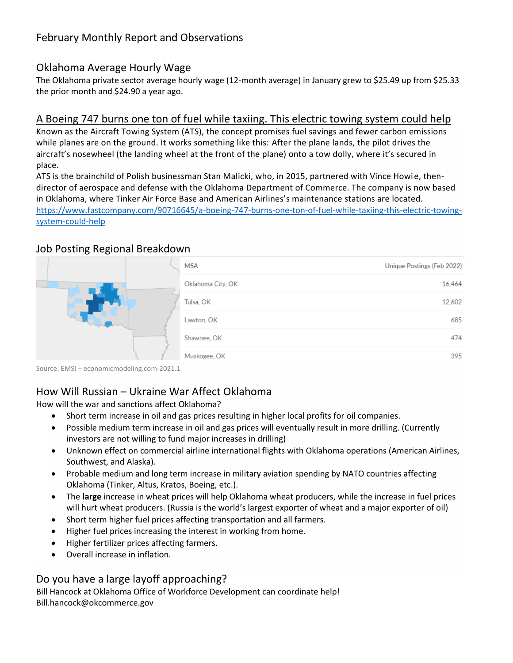### Oklahoma Average Hourly Wage

The Oklahoma private sector average hourly wage (12-month average) in January grew to \$25.49 up from \$25.33 the prior month and \$24.90 a year ago.

#### [A Boeing 747 burns one ton of fuel while taxiing. This electric towing system could help](https://www.fastcompany.com/90716645/a-boeing-747-burns-one-ton-of-fuel-while-taxiing-this-electric-towing-system-could-help)

Known as the Aircraft Towing System (ATS), the concept promises fuel savings and fewer carbon emissions while planes are on the ground. It works something like this: After the plane lands, the pilot drives the aircraft's nosewheel (the landing wheel at the front of the plane) onto a tow dolly, where it's secured in place.

ATS is the brainchild of Polish businessman Stan Malicki, who, in 2015, partnered with Vince Howie, thendirector of aerospace and defense with the Oklahoma Department of Commerce. The company is now based in Oklahoma, where Tinker Air Force Base and American Airlines's maintenance stations are located. [https://www.fastcompany.com/90716645/a-boeing-747-burns-one-ton-of-fuel-while-taxiing-this-electric-towing](https://www.fastcompany.com/90716645/a-boeing-747-burns-one-ton-of-fuel-while-taxiing-this-electric-towing-system-could-help)[system-could-help](https://www.fastcompany.com/90716645/a-boeing-747-burns-one-ton-of-fuel-while-taxiing-this-electric-towing-system-could-help)

### Job Posting Regional Breakdown



Source: EMSI – economicmodeling.com-2021.1

# How Will Russian – Ukraine War Affect Oklahoma

How will the war and sanctions affect Oklahoma?

- Short term increase in oil and gas prices resulting in higher local profits for oil companies.
- Possible medium term increase in oil and gas prices will eventually result in more drilling. (Currently investors are not willing to fund major increases in drilling)
- Unknown effect on commercial airline international flights with Oklahoma operations (American Airlines, Southwest, and Alaska).
- Probable medium and long term increase in military aviation spending by NATO countries affecting Oklahoma (Tinker, Altus, Kratos, Boeing, etc.).
- The **large** increase in wheat prices will help Oklahoma wheat producers, while the increase in fuel prices will hurt wheat producers. (Russia is the world's largest exporter of wheat and a major exporter of oil)
- Short term higher fuel prices affecting transportation and all farmers.
- Higher fuel prices increasing the interest in working from home.
- Higher fertilizer prices affecting farmers.
- Overall increase in inflation.

# Do you have a large layoff approaching?

Bill Hancock at Oklahoma Office of Workforce Development can coordinate help! Bill.hancock@okcommerce.gov